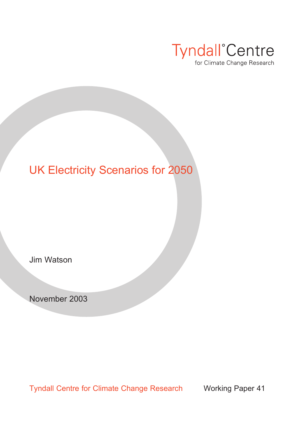

### UK Electricity Scenarios for 2050

Jim Watson

November 2003

Tyndall Centre for Climate Change Research Working Paper 41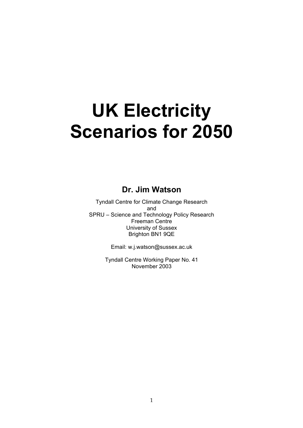# **UK Electricity Scenarios for 2050**

#### **Dr. Jim Watson**

Tyndall Centre for Climate Change Research and SPRU – Science and Technology Policy Research Freeman Centre University of Sussex Brighton BN1 9QE

Email: w.j.watson@sussex.ac.uk

Tyndall Centre Working Paper No. 41 November 2003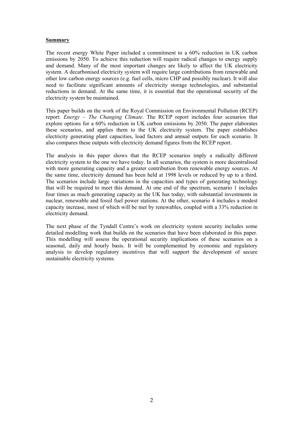#### **Summary**

The recent energy White Paper included a commitment to a 60% reduction in UK carbon emissions by 2050. To achieve this reduction will require radical changes to energy supply and demand. Many of the most important changes are likely to affect the UK electricity system. A decarbonised electricity system will require large contributions from renewable and other low carbon energy sources (e.g. fuel cells, micro CHP and possibly nuclear). It will also need to facilitate significant amounts of electricity storage technologies, and substantial reductions in demand. At the same time, it is essential that the operational security of the electricity system be maintained.

This paper builds on the work of the Royal Commission on Environmental Pollution (RCEP) report: *Energy – The Changing Climate*. The RCEP report includes four scenarios that explore options for a 60% reduction in UK carbon emissions by 2050. The paper elaborates these scenarios, and applies them to the UK electricity system. The paper establishes electricity generating plant capacities, load factors and annual outputs for each scenario. It also compares these outputs with electricity demand figures from the RCEP report.

The analysis in this paper shows that the RCEP scenarios imply a radically different electricity system to the one we have today. In all scenarios, the system is more decentralised with more generating capacity and a greater contribution from renewable energy sources. At the same time, electricity demand has been held at 1998 levels or reduced by up to a third. The scenarios include large variations in the capacities and types of generating technology that will be required to meet this demand. At one end of the spectrum, scenario 1 includes four times as much generating capacity as the UK has today, with substantial investments in nuclear, renewable and fossil fuel power stations. At the other, scenario 4 includes a modest capacity increase, most of which will be met by renewables, coupled with a 33% reduction in electricity demand.

The next phase of the Tyndall Centre's work on electricity system security includes some detailed modelling work that builds on the scenarios that have been elaborated in this paper. This modelling will assess the operational security implications of these scenarios on a seasonal, daily and hourly basis. It will be complemented by economic and regulatory analysis to develop regulatory incentives that will support the development of secure sustainable electricity systems.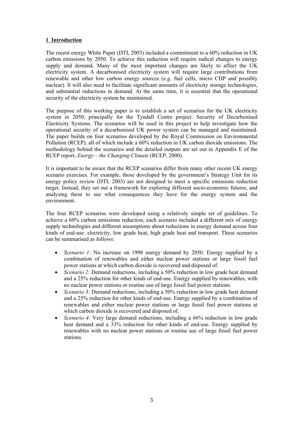#### **1 Introduction**

The recent energy White Paper (DTI, 2003) included a commitment to a 60% reduction in UK carbon emissions by 2050. To achieve this reduction will require radical changes to energy supply and demand. Many of the most important changes are likely to affect the UK electricity system. A decarbonised electricity system will require large contributions from renewable and other low carbon energy sources (e.g. fuel cells, micro CHP and possibly nuclear). It will also need to facilitate significant amounts of electricity storage technologies, and substantial reductions in demand. At the same time, it is essential that the operational security of the electricity system be maintained.

The purpose of this working paper is to establish a set of scenarios for the UK electricity system in 2050, principally for the Tyndall Centre project: Security of Decarbonised Electricity Systems. The scenarios will be used in this project to help investigate how the operational security of a decarbonised UK power system can be managed and maintained. The paper builds on four scenarios developed by the Royal Commission on Environmental Pollution (RCEP), all of which include a 60% reduction in UK carbon dioxide emissions. The methodology behind the scenarios and the detailed outputs are set out in Appendix E of the RCEP report, *Energy – the Changing Climate* (RCEP, 2000).

It is important to be aware that the RCEP scenarios differ from many other recent UK energy scenario exercises. For example, those developed by the government's Strategy Unit for its energy policy review (DTI, 2003) are not designed to meet a specific emissions reduction target. Instead, they set out a framework for exploring different socio-economic futures, and analysing these to see what consequences they have for the energy system and the environment.

The four RCEP scenarios were developed using a relatively simple set of guidelines. To achieve a 60% carbon emissions reduction, each scenario included a different mix of energy supply technologies and different assumptions about reductions in energy demand across four kinds of end-use: electricity, low grade heat, high grade heat and transport. These scenarios can be summarised as follows:

- *Scenario 1:* No increase on 1998 energy demand by 2050. Energy supplied by a combination of renewables and either nuclear power stations or large fossil fuel power stations at which carbon dioxide is recovered and disposed of.
- *Scenario 2:* Demand reductions, including a 50% reduction in low grade heat demand and a 25% reduction for other kinds of end-use. Energy supplied by renewables, with no nuclear power stations or routine use of large fossil fuel power stations.
- *Scenario 3:* Demand reductions, including a 50% reduction in low grade heat demand and a 25% reduction for other kinds of end-use. Energy supplied by a combination of renewables and either nuclear power stations or large fossil fuel power stations at which carbon dioxide is recovered and disposed of.
- *Scenario 4:* Very large demand reductions, including a 66% reduction in low grade heat demand and a 33% reduction for other kinds of end-use. Energy supplied by renewables with no nuclear power stations or routine use of large fossil fuel power stations.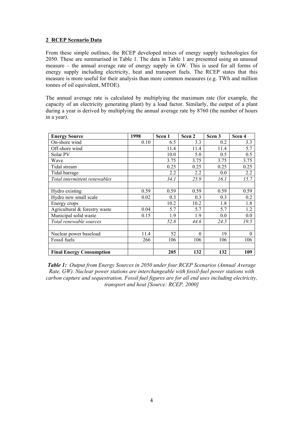#### **2 RCEP Scenario Data**

From these simple outlines, the RCEP developed mixes of energy supply technologies for 2050. These are summarised in Table 1. The data in Table 1 are presented using an unusual measure – the annual average rate of energy supply in GW. This is used for all forms of energy supply including electricity, heat and transport fuels. The RCEP states that this measure is more useful for their analysis than more common measures (e.g. TWh and million tonnes of oil equivalent, MTOE).

The annual average rate is calculated by multiplying the maximum rate (for example, the capacity of an electricity generating plant) by a load factor. Similarly, the output of a plant during a year is derived by multiplying the annual average rate by 8760 (the number of hours in a year).

| <b>Energy Source</b>            | 1998 | Scen 1 | Scen <sub>2</sub> | Scen 3 | Scen 4           |
|---------------------------------|------|--------|-------------------|--------|------------------|
| On-shore wind                   | 0.10 | 6.5    | 3.3               | 0.2    | 3.3              |
| Off-shore wind                  |      | 11.4   | 11.4              | 11.4   | 5.7              |
| Solar PV                        |      | 10.0   | 5.0               | 0.5    | 0.5              |
| Wave                            |      | 3.75   | 3.75              | 3.75   | 3.75             |
| Tidal stream                    |      | 0.25   | 0.25              | 0.25   | 0.25             |
| Tidal barrage                   |      | 2.2    | 2.2               | 0.0    | $\overline{2.2}$ |
| Total intermittent renewables   |      | 34.1   | 25.9              | 16.1   | 15.7             |
|                                 |      |        |                   |        |                  |
| Hydro existing                  | 0.59 | 0.59   | 0.59              | 0.59   | 0.59             |
| Hydro new small scale           | 0.02 | 0.3    | 0.3               | 0.3    | 0.2              |
| Energy crops                    |      | 10.2   | 10.2              | 1.8    | 1.8              |
| Agricultural & forestry waste   | 0.04 | 5.7    | 5.7               | 5.7    | 1.2              |
| Municipal solid waste           | 0.15 | 1.9    | 1.9               | 0.0    | 0.0              |
| Total renewable sources         |      | 52.8   | 44.6              | 24.5   | 19.5             |
|                                 |      |        |                   |        |                  |
| Nuclear power baseload          | 11.4 | 52     | $\theta$          | 19     | $\theta$         |
| Fossil fuels                    | 266  | 106    | 106               | 106    | 106              |
|                                 |      |        |                   |        |                  |
| <b>Final Energy Consumption</b> |      | 205    | 132               | 132    | 109              |

*Table 1: Output from Energy Sources in 2050 under four RCEP Scenarios (Annual Average Rate, GW). Nuclear power stations are interchangeable with fossil-fuel power stations with carbon capture and sequestration. Fossil fuel figures are for all end uses including electricity, transport and heat [Source: RCEP, 2000]*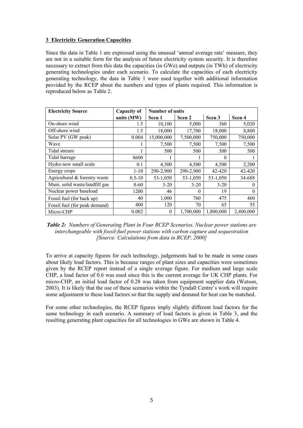#### **3 Electricity Generation Capacities**

Since the data in Table 1 are expressed using the unusual 'annual average rate' measure, they are not in a suitable form for the analysis of future electricity system security. It is therefore necessary to extract from this data the capacities (in GWe) and outputs (in TWh) of electricity generating technologies under each scenario. To calculate the capacities of each electricity generating technology, the data in Table 1 were used together with additional information provided by the RCEP about the numbers and types of plants required. This information is reproduced below as Table 2.

| <b>Electricity Source</b>      | <b>Capacity of</b> | <b>Number of units</b> |           |           |           |  |
|--------------------------------|--------------------|------------------------|-----------|-----------|-----------|--|
|                                | units (MW)         | Scen 1                 | Scen 2    | Scen 3    | Scen 4    |  |
| On-shore wind                  | 1.5                | 10,100                 | 5,000     | 360       | 5,020     |  |
| Off-shore wind                 | 1.5                | 18,000                 | 17,700    | 18,000    | 8,800     |  |
| Solar PV (GW peak)             | 0.004              | 15,000,000             | 7,500,000 | 750,000   | 750,000   |  |
| Wave                           |                    | 7,500                  | 7,500     | 7,500     | 7,500     |  |
| Tidal stream                   |                    | 500                    | 500       | 500       | 500       |  |
| Tidal barrage                  | 8600               |                        |           | 0         |           |  |
| Hydro new small scale          | 0.1                | 4,500                  | 4,500     | 4,500     | 2,200     |  |
| Energy crops                   | $1 - 10$           | 290-2,900              | 290-2,900 | 42-420    | 42-420    |  |
| Agricultural & forestry waste  | $0.5 - 10$         | 53-1,050               | 53-1,050  | 53-1,050  | 34-688    |  |
| Muni. solid waste/landfill gas | 8-60               | $3 - 20$               | $3 - 20$  | $3 - 20$  | 0         |  |
| Nuclear power baseload         | 1200               | 46                     | $\theta$  | 19        | 0         |  |
| Fossil fuel (for back up)      | 40                 | 1,000                  | 760       | 475       | 460       |  |
| Fossil fuel (for peak demand)  | 400                | 120                    | 70        | 65        | 55        |  |
| Micro-CHP                      | 0.002              | $\theta$               | 1,700,000 | 1,800,000 | 2,400,000 |  |

*Table 2: Numbers of Generating Plant in Four RCEP Scenarios. Nuclear power stations are interchangeable with fossil-fuel power stations with carbon capture and sequestration [Source: Calculations from data in RCEP, 2000]*

To arrive at capacity figures for each technology, judgements had to be made in some cases about likely load factors. This is because ranges of plant sizes and capacities were sometimes given by the RCEP report instead of a single average figure. For medium and large scale CHP, a load factor of 0.6 was used since this is the current average for UK CHP plants. For micro-CHP, an initial load factor of 0.28 was taken from equipment supplier data (Watson, 2003). It is likely that the use of these scenarios within the Tyndall Centre's work will require some adjustment to these load factors so that the supply and demand for heat can be matched.

For some other technologies, the RCEP figures imply slightly different load factors for the same technology in each scenario. A summary of load factors is given in Table 3, and the resulting generating plant capacities for all technologies in GWe are shown in Table 4.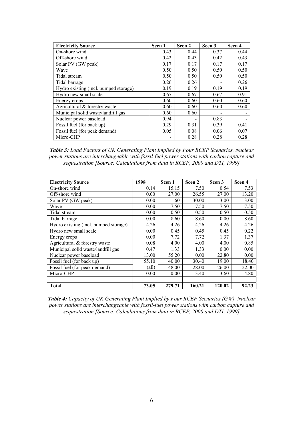| <b>Electricity Source</b>             | Scen 1 | Scen <sub>2</sub> | Scen 3 | Scen 4 |
|---------------------------------------|--------|-------------------|--------|--------|
| On-shore wind                         | 0.43   | 0.44              | 0.37   | 0.44   |
| Off-shore wind                        | 0.42   | 0.43              | 0.42   | 0.43   |
| Solar PV (GW peak)                    | 0.17   | 0.17              | 0.17   | 0.17   |
| Wave                                  | 0.50   | 0.50              | 0.50   | 0.50   |
| Tidal stream                          | 0.50   | 0.50              | 0.50   | 0.50   |
| Tidal barrage                         | 0.26   | 0.26              |        | 0.26   |
| Hydro existing (incl. pumped storage) | 0.19   | 0.19              | 0.19   | 0.19   |
| Hydro new small scale                 | 0.67   | 0.67              | 0.67   | 0.91   |
| Energy crops                          | 0.60   | 0.60              | 0.60   | 0.60   |
| Agricultural & forestry waste         | 0.60   | 0.60              | 0.60   | 0.60   |
| Municipal solid waste/landfill gas    | 0.60   | 0.60              |        |        |
| Nuclear power baseload                | 0.94   |                   | 0.83   |        |
| Fossil fuel (for back up)             | 0.29   | 0.31              | 0.39   | 0.41   |
| Fossil fuel (for peak demand)         | 0.05   | 0.08              | 0.06   | 0.07   |
| Micro-CHP                             |        | 0.28              | 0.28   | 0.28   |

*Table 3: Load Factors of UK Generating Plant Implied by Four RCEP Scenarios. Nuclear power stations are interchangeable with fossil-fuel power stations with carbon capture and sequestration [Source: Calculations from data in RCEP, 2000 and DTI, 1999]*

| <b>Electricity Source</b>             | 1998  | Scen 1 | Scen 2 | Scen 3 | Scen 4 |
|---------------------------------------|-------|--------|--------|--------|--------|
| On-shore wind                         | 0.14  | 15.15  | 7.50   | 0.54   | 7.53   |
| Off-shore wind                        | 0.00  | 27.00  | 26.55  | 27.00  | 13.20  |
| Solar PV (GW peak)                    | 0.00  | 60     | 30.00  | 3.00   | 3.00   |
| Wave                                  | 0.00  | 7.50   | 7.50   | 7.50   | 7.50   |
| Tidal stream                          | 0.00  | 0.50   | 0.50   | 0.50   | 0.50   |
| Tidal barrage                         | 0.00  | 8.60   | 8.60   | 0.00   | 8.60   |
| Hydro existing (incl. pumped storage) | 4.26  | 4.26   | 4.26   | 4.26   | 4.26   |
| Hydro new small scale                 | 0.00  | 0.45   | 0.45   | 0.45   | 0.22   |
| Energy crops                          | 0.00  | 7.72   | 7.72   | 1.37   | 1.37   |
| Agricultural & forestry waste         | 0.08  | 4.00   | 4.00   | 4.00   | 0.85   |
| Municipal solid waste/landfill gas    | 0.47  | 1.33   | 1.33   | 0.00   | 0.00   |
| Nuclear power baseload                | 13.00 | 55.20  | 0.00   | 22.80  | 0.00   |
| Fossil fuel (for back up)             | 55.10 | 40.00  | 30.40  | 19.00  | 18.40  |
| Fossil fuel (for peak demand)         | (all) | 48.00  | 28.00  | 26.00  | 22.00  |
| Micro-CHP                             | 0.00  | 0.00   | 3.40   | 3.60   | 4.80   |
|                                       |       |        |        |        |        |
| <b>Total</b>                          | 73.05 | 279.71 | 160.21 | 120.02 | 92.23  |

*Table 4: Capacity of UK Generating Plant Implied by Four RCEP Scenarios (GW). Nuclear power stations are interchangeable with fossil-fuel power stations with carbon capture and sequestration [Source: Calculations from data in RCEP, 2000 and DTI, 1999]*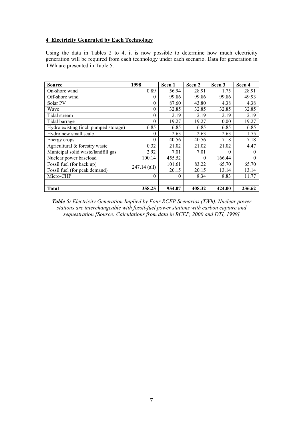#### **4 Electricity Generated by Each Technology**

Using the data in Tables 2 to 4, it is now possible to determine how much electricity generation will be required from each technology under each scenario. Data for generation in TWh are presented in Table 5.

| <b>Source</b>                         | 1998         | Scen 1   | Scen 2   | Scen <sub>3</sub> | Scen 4 |
|---------------------------------------|--------------|----------|----------|-------------------|--------|
| On-shore wind                         | 0.89         | 56.94    | 28.91    | 1.75              | 28.91  |
| Off-shore wind                        | $\theta$     | 99.86    | 99.86    | 99.86             | 49.93  |
| Solar PV                              | $\theta$     | 87.60    | 43.80    | 4.38              | 4.38   |
| Wave                                  | $\theta$     | 32.85    | 32.85    | 32.85             | 32.85  |
| Tidal stream                          | $\theta$     | 2.19     | 2.19     | 2.19              | 2.19   |
| Tidal barrage                         | $\theta$     | 19.27    | 19.27    | 0.00              | 19.27  |
| Hydro existing (incl. pumped storage) | 6.85         | 6.85     | 6.85     | 6.85              | 6.85   |
| Hydro new small scale                 | $\theta$     | 2.63     | 2.63     | 2.63              | 1.75   |
| Energy crops                          | $\theta$     | 40.56    | 40.56    | 7.18              | 7.18   |
| Agricultural & forestry waste         | 0.32         | 21.02    | 21.02    | 21.02             | 4.47   |
| Municipal solid waste/landfill gas    | 2.92         | 7.01     | 7.01     | $\theta$          | 0      |
| Nuclear power baseload                | 100.14       | 455.52   | $\Omega$ | 166.44            | 0      |
| Fossil fuel (for back up)             | 247.14 (all) | 101.61   | 83.22    | 65.70             | 65.70  |
| Fossil fuel (for peak demand)         |              | 20.15    | 20.15    | 13.14             | 13.14  |
| Micro-CHP                             | $\theta$     | $\Omega$ | 8.34     | 8.83              | 11.77  |
|                                       |              |          |          |                   |        |
| <b>Total</b>                          | 358.25       | 954.07   | 408.32   | 424.00            | 236.62 |

*Table 5: Electricity Generation Implied by Four RCEP Scenarios (TWh). Nuclear power stations are interchangeable with fossil-fuel power stations with carbon capture and sequestration [Source: Calculations from data in RCEP, 2000 and DTI, 1999]*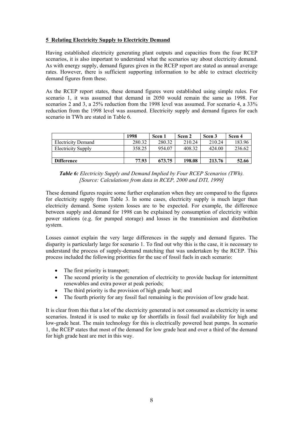#### **5 Relating Electricity Supply to Electricity Demand**

Having established electricity generating plant outputs and capacities from the four RCEP scenarios, it is also important to understand what the scenarios say about electricity demand. As with energy supply, demand figures given in the RCEP report are stated as annual average rates. However, there is sufficient supporting information to be able to extract electricity demand figures from these.

As the RCEP report states, these demand figures were established using simple rules. For scenario 1, it was assumed that demand in 2050 would remain the same as 1998. For scenarios 2 and 3, a 25% reduction from the 1998 level was assumed. For scenario 4, a 33% reduction from the 1998 level was assumed. Electricity supply and demand figures for each scenario in TWh are stated in Table 6.

|                           | 1998   | Scen 1 | Scen 2 | Scen <sub>3</sub> | Scen 4 |
|---------------------------|--------|--------|--------|-------------------|--------|
| <b>Electricity Demand</b> | 280.32 | 280.32 | 210.24 | 210.24            | 183.96 |
| <b>Electricity Supply</b> | 358.25 | 954.07 | 408.32 | 424.00            | 236.62 |
|                           |        |        |        |                   |        |
| <b>Difference</b>         | 77.93  | 673.75 | 198.08 | 213.76            | 52.66  |

*Table 6: Electricity Supply and Demand Implied by Four RCEP Scenarios (TWh). [Source: Calculations from data in RCEP, 2000 and DTI, 1999]* 

These demand figures require some further explanation when they are compared to the figures for electricity supply from Table 3. In some cases, electricity supply is much larger than electricity demand. Some system losses are to be expected. For example, the difference between supply and demand for 1998 can be explained by consumption of electricity within power stations (e.g. for pumped storage) and losses in the transmission and distribution system.

Losses cannot explain the very large differences in the supply and demand figures. The disparity is particularly large for scenario 1. To find out why this is the case, it is necessary to understand the process of supply-demand matching that was undertaken by the RCEP. This process included the following priorities for the use of fossil fuels in each scenario:

- The first priority is transport:
- The second priority is the generation of electricity to provide backup for intermittent renewables and extra power at peak periods;
- The third priority is the provision of high grade heat; and
- The fourth priority for any fossil fuel remaining is the provision of low grade heat.

It is clear from this that a lot of the electricity generated is not consumed as electricity in some scenarios. Instead it is used to make up for shortfalls in fossil fuel availability for high and low-grade heat. The main technology for this is electrically powered heat pumps. In scenario 1, the RCEP states that most of the demand for low grade heat and over a third of the demand for high grade heat are met in this way.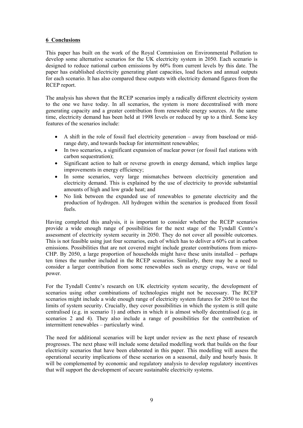#### **6 Conclusions**

This paper has built on the work of the Royal Commission on Environmental Pollution to develop some alternative scenarios for the UK electricity system in 2050. Each scenario is designed to reduce national carbon emissions by 60% from current levels by this date. The paper has established electricity generating plant capacities, load factors and annual outputs for each scenario. It has also compared these outputs with electricity demand figures from the RCEP report.

The analysis has shown that the RCEP scenarios imply a radically different electricity system to the one we have today. In all scenarios, the system is more decentralised with more generating capacity and a greater contribution from renewable energy sources. At the same time, electricity demand has been held at 1998 levels or reduced by up to a third. Some key features of the scenarios include:

- A shift in the role of fossil fuel electricity generation away from baseload or midrange duty, and towards backup for intermittent renewables;
- In two scenarios, a significant expansion of nuclear power (or fossil fuel stations with carbon sequestration);
- Significant action to halt or reverse growth in energy demand, which implies large improvements in energy efficiency;
- In some scenarios, very large mismatches between electricity generation and electricity demand. This is explained by the use of electricity to provide substantial amounts of high and low grade heat; and
- No link between the expanded use of renewables to generate electricity and the production of hydrogen. All hydrogen within the scenarios is produced from fossil fuels.

Having completed this analysis, it is important to consider whether the RCEP scenarios provide a wide enough range of possibilities for the next stage of the Tyndall Centre's assessment of electricity system security in 2050. They do not cover all possible outcomes. This is not feasible using just four scenarios, each of which has to deliver a 60% cut in carbon emissions. Possibilities that are not covered might include greater contributions from micro-CHP. By 2050, a large proportion of households might have these units installed – perhaps ten times the number included in the RCEP scenarios. Similarly, there may be a need to consider a larger contribution from some renewables such as energy crops, wave or tidal power.

For the Tyndall Centre's research on UK electricity system security, the development of scenarios using other combinations of technologies might not be necessary. The RCEP scenarios might include a wide enough range of electricity system futures for 2050 to test the limits of system security. Crucially, they cover possibilities in which the system is still quite centralised (e.g. in scenario 1) and others in which it is almost wholly decentralised (e.g. in scenarios 2 and 4). They also include a range of possibilities for the contribution of intermittent renewables – particularly wind.

The need for additional scenarios will be kept under review as the next phase of research progresses. The next phase will include some detailed modelling work that builds on the four electricity scenarios that have been elaborated in this paper. This modelling will assess the operational security implications of these scenarios on a seasonal, daily and hourly basis. It will be complemented by economic and regulatory analysis to develop regulatory incentives that will support the development of secure sustainable electricity systems.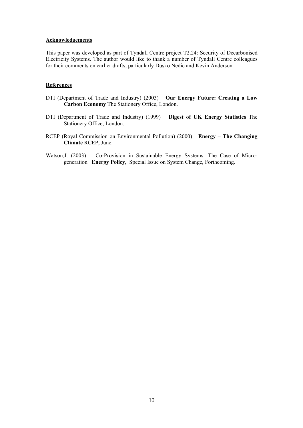#### **Acknowledgements**

This paper was developed as part of Tyndall Centre project T2.24: Security of Decarbonised Electricity Systems. The author would like to thank a number of Tyndall Centre colleagues for their comments on earlier drafts, particularly Dusko Nedic and Kevin Anderson.

#### **References**

- DTI (Department of Trade and Industry) (2003) **Our Energy Future: Creating a Low Carbon Economy** The Stationery Office, London.
- DTI (Department of Trade and Industry) (1999) **Digest of UK Energy Statistics** The Stationery Office, London.
- RCEP (Royal Commission on Environmental Pollution) (2000) **Energy The Changing Climate** RCEP, June.
- Watson,J. (2003) Co-Provision in Sustainable Energy Systems: The Case of Microgeneration **Energy Policy,** Special Issue on System Change, Forthcoming.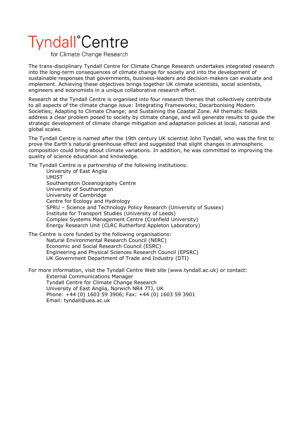## **Tyndall**<sup>°</sup>Centre

for Climate Change Research

The trans-disciplinary Tyndall Centre for Climate Change Research undertakes integrated research into the long-term consequences of climate change for society and into the development of sustainable responses that governments, business-leaders and decision-makers can evaluate and implement. Achieving these objectives brings together UK climate scientists, social scientists, engineers and economists in a unique collaborative research effort.

Research at the Tyndall Centre is organised into four research themes that collectively contribute to all aspects of the climate change issue: Integrating Frameworks; Decarbonising Modern Societies; Adapting to Climate Change; and Sustaining the Coastal Zone. All thematic fields address a clear problem posed to society by climate change, and will generate results to guide the strategic development of climate change mitigation and adaptation policies at local, national and global scales.

The Tyndall Centre is named after the 19th century UK scientist John Tyndall, who was the first to prove the Earth's natural greenhouse effect and suggested that slight changes in atmospheric composition could bring about climate variations. In addition, he was committed to improving the quality of science education and knowledge.

The Tyndall Centre is a partnership of the following institutions:

University of East Anglia UMIST Southampton Oceanography Centre University of Southampton University of Cambridge Centre for Ecology and Hydrology SPRU – Science and Technology Policy Research (University of Sussex) Institute for Transport Studies (University of Leeds) Complex Systems Management Centre (Cranfield University) Energy Research Unit (CLRC Rutherford Appleton Laboratory)

The Centre is core funded by the following organisations: Natural Environmental Research Council (NERC) Economic and Social Research Council (ESRC) Engineering and Physical Sciences Research Council (EPSRC) UK Government Department of Trade and Industry (DTI)

For more information, visit the Tyndall Centre Web site (www.tyndall.ac.uk) or contact: External Communications Manager Tyndall Centre for Climate Change Research University of East Anglia, Norwich NR4 7TJ, UK Phone: +44 (0) 1603 59 3906; Fax: +44 (0) 1603 59 3901 Email: tyndall@uea.ac.uk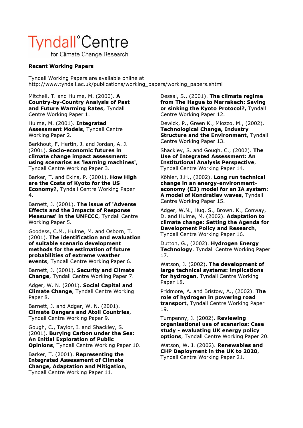### **Tyndall**<sup>°</sup>Centre

for Climate Change Research

#### **Recent Working Papers**

Tyndall Working Papers are available online at http://www.tyndall.ac.uk/publications/working\_papers/working\_papers.shtml

Mitchell, T. and Hulme, M. (2000). **A Country-by-Country Analysis of Past and Future Warming Rates**, Tyndall Centre Working Paper 1.

Hulme, M. (2001). **Integrated Assessment Models**, Tyndall Centre Working Paper 2.

Berkhout, F, Hertin, J. and Jordan, A. J. (2001). **Socio-economic futures in climate change impact assessment: using scenarios as 'learning machines'**, Tyndall Centre Working Paper 3.

Barker, T. and Ekins, P. (2001). **How High are the Costs of Kyoto for the US Economy?**, Tyndall Centre Working Paper 4.

Barnett, J. (2001). **The issue of 'Adverse Effects and the Impacts of Response Measures' in the UNFCCC**, Tyndall Centre Working Paper 5.

Goodess, C.M., Hulme, M. and Osborn, T. (2001). **The identification and evaluation of suitable scenario development methods for the estimation of future probabilities of extreme weather events**, Tyndall Centre Working Paper 6.

Barnett, J. (2001). **Security and Climate Change**, Tyndall Centre Working Paper 7.

Adger, W. N. (2001). **Social Capital and Climate Change**, Tyndall Centre Working Paper 8.

Barnett, J. and Adger, W. N. (2001). **Climate Dangers and Atoll Countries**, Tyndall Centre Working Paper 9.

Gough, C., Taylor, I. and Shackley, S. (2001). **Burying Carbon under the Sea: An Initial Exploration of Public Opinions**, Tyndall Centre Working Paper 10.

Barker, T. (2001). **Representing the Integrated Assessment of Climate Change, Adaptation and Mitigation**, Tyndall Centre Working Paper 11.

Dessai, S., (2001). **The climate regime from The Hague to Marrakech: Saving or sinking the Kyoto Protocol?,** Tyndall Centre Working Paper 12.

Dewick, P., Green K., Miozzo, M., (2002). **Technological Change, Industry Structure and the Environment**, Tyndall Centre Working Paper 13.

Shackley, S. and Gough, C., (2002). **The Use of Integrated Assessment: An Institutional Analysis Perspective**, Tyndall Centre Working Paper 14.

Köhler, J.H., (2002). **Long run technical change in an energy-environmenteconomy (E3) model for an IA system: A model of Kondratiev waves**, Tyndall Centre Working Paper 15.

Adger, W.N., Huq, S., Brown, K., Conway, D. and Hulme, M. (2002). **Adaptation to climate change: Setting the Agenda for Development Policy and Research**, Tyndall Centre Working Paper 16.

Dutton, G., (2002). **Hydrogen Energy Technology**, Tyndall Centre Working Paper 17.

Watson, J. (2002). **The development of large technical systems: implications for hydrogen**, Tyndall Centre Working Paper 18.

Pridmore, A. and Bristow, A., (2002). **The role of hydrogen in powering road transport**, Tyndall Centre Working Paper 19.

Turnpenny, J. (2002). **Reviewing organisational use of scenarios: Case study - evaluating UK energy policy options**, Tyndall Centre Working Paper 20.

Watson, W. J. (2002). **Renewables and CHP Deployment in the UK to 2020**, Tyndall Centre Working Paper 21.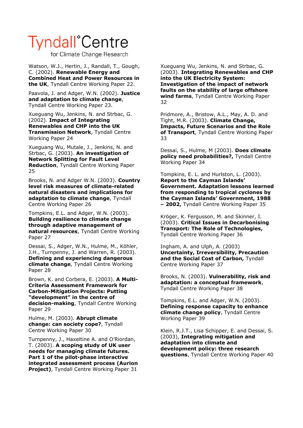### **Tyndall**<sup>°</sup>Centre

for Climate Change Research

Watson, W.J., Hertin, J., Randall, T., Gough, C. (2002). **Renewable Energy and Combined Heat and Power Resources in the UK**, Tyndall Centre Working Paper 22.

Paavola, J. and Adger, W.N. (2002). **Justice and adaptation to climate change**, Tyndall Centre Working Paper 23.

Xueguang Wu, Jenkins, N. and Strbac, G. (2002). **Impact of Integrating Renewables and CHP into the UK Transmission Network**, Tyndall Centre Working Paper 24

Xueguang Wu, Mutale, J., Jenkins, N. and Strbac, G. (2003). **An investigation of Network Splitting for Fault Level Reduction**, Tyndall Centre Working Paper 25

Brooks, N. and Adger W.N. (2003). **Country level risk measures of climate-related natural disasters and implications for adaptation to climate change**, Tyndall Centre Working Paper 26

Tompkins, E.L. and Adger, W.N. (2003). **Building resilience to climate change through adaptive management of natural resources**, Tyndall Centre Working Paper 27

Dessai, S., Adger, W.N., Hulme, M., Köhler, J.H., Turnpenny, J. and Warren, R. (2003). **Defining and experiencing dangerous climate change**, Tyndall Centre Working Paper 28

Brown, K. and Corbera, E. (2003). **A Multi-Criteria Assessment Framework for Carbon-Mitigation Projects: Putting "development" in the centre of decision-making**, Tyndall Centre Working Paper 29

Hulme, M. (2003). **Abrupt climate change: can society cope?**, Tyndall Centre Working Paper 30

Turnpenny, J., Haxeltine A. and O'Riordan, T. (2003). **A scoping study of UK user needs for managing climate futures. Part 1 of the pilot-phase interactive integrated assessment process (Aurion Project)**, Tyndall Centre Working Paper 31

Xueguang Wu, Jenkins, N. and Strbac, G. (2003). **Integrating Renewables and CHP into the UK Electricity System: Investigation of the impact of network faults on the stability of large offshore wind farms**, Tyndall Centre Working Paper 32

Pridmore, A., Bristow, A.L., May, A. D. and Tight, M.R. (2003). **Climate Change, Impacts, Future Scenarios and the Role of Transport**, Tyndall Centre Working Paper 33

Dessai, S., Hulme, M (2003). **Does climate policy need probabilities?,** Tyndall Centre Working Paper 34

Tompkins, E. L. and Hurlston, L. (2003). **Report to the Cayman Islands' Government. Adaptation lessons learned from responding to tropical cyclones by the Cayman Islands' Government, 1988 – 2002,** Tyndall Centre Working Paper 35

Kröger, K. Fergusson, M. and Skinner, I. (2003). **Critical Issues in Decarbonising Transport: The Role of Technologies,**  Tyndall Centre Working Paper 36

Ingham, A. and Ulph, A. (2003) **Uncertainty, Irreversibility, Precaution and the Social Cost of Carbon,** Tyndall Centre Working Paper 37

Brooks, N. (2003). **Vulnerability, risk and adaptation: a conceptual framework**, Tyndall Centre Working Paper 38

Tompkins, E.L. and Adger, W.N. (2003). **Defining response capacity to enhance climate change policy**, Tyndall Centre Working Paper 39

Klein, R.J.T., Lisa Schipper, E. and Dessai, S. (2003), **Integrating mitigation and adaptation into climate and development policy: three research questions**, Tyndall Centre Working Paper 40